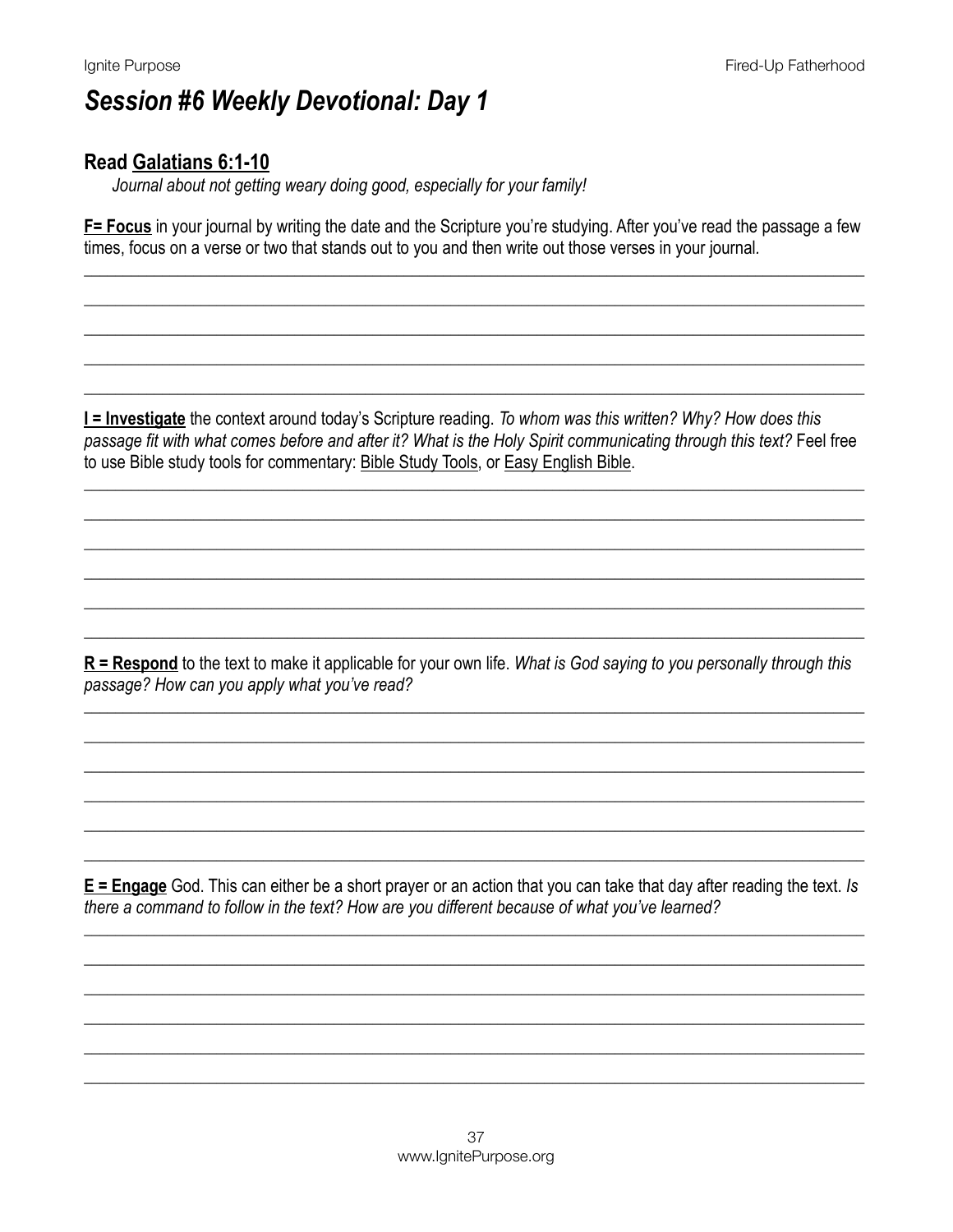#### **Read Galatians 6:1-10**

Journal about not getting weary doing good, especially for your family!

F= Focus in your journal by writing the date and the Scripture you're studying. After you've read the passage a few times, focus on a verse or two that stands out to you and then write out those verses in your journal.

**I = Investigate** the context around today's Scripture reading. To whom was this written? Why? How does this passage fit with what comes before and after it? What is the Holy Spirit communicating through this text? Feel free to use Bible study tools for commentary: Bible Study Tools, or Easy English Bible.

 $R$  = Respond to the text to make it applicable for your own life. What is God saying to you personally through this passage? How can you apply what you've read?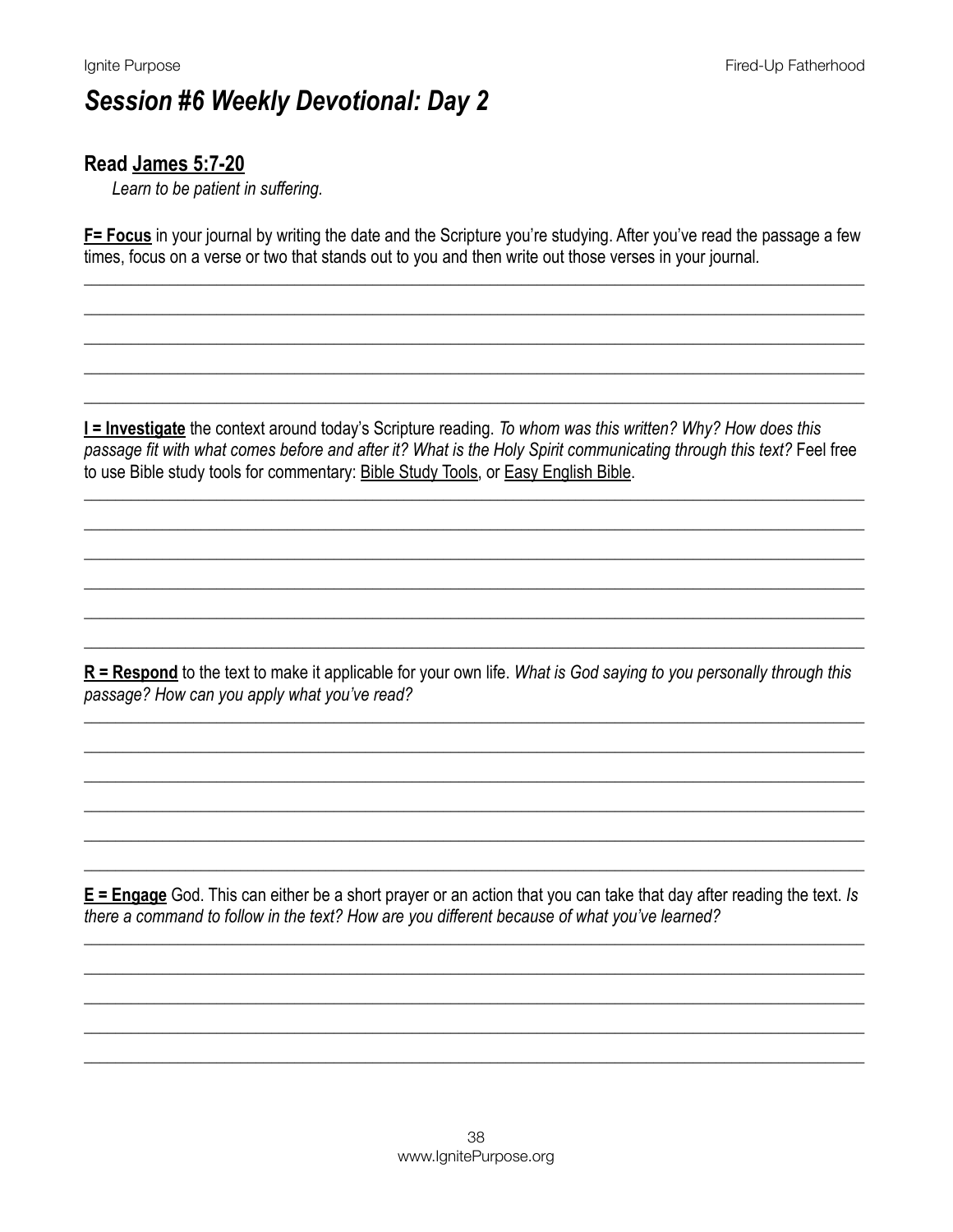#### Read James 5:7-20

Learn to be patient in suffering.

F= Focus in your journal by writing the date and the Scripture you're studying. After you've read the passage a few times, focus on a verse or two that stands out to you and then write out those verses in your journal.

**I = Investigate** the context around today's Scripture reading. To whom was this written? Why? How does this passage fit with what comes before and after it? What is the Holy Spirit communicating through this text? Feel free to use Bible study tools for commentary: Bible Study Tools, or Easy English Bible.

 $R$  = Respond to the text to make it applicable for your own life. What is God saying to you personally through this passage? How can you apply what you've read?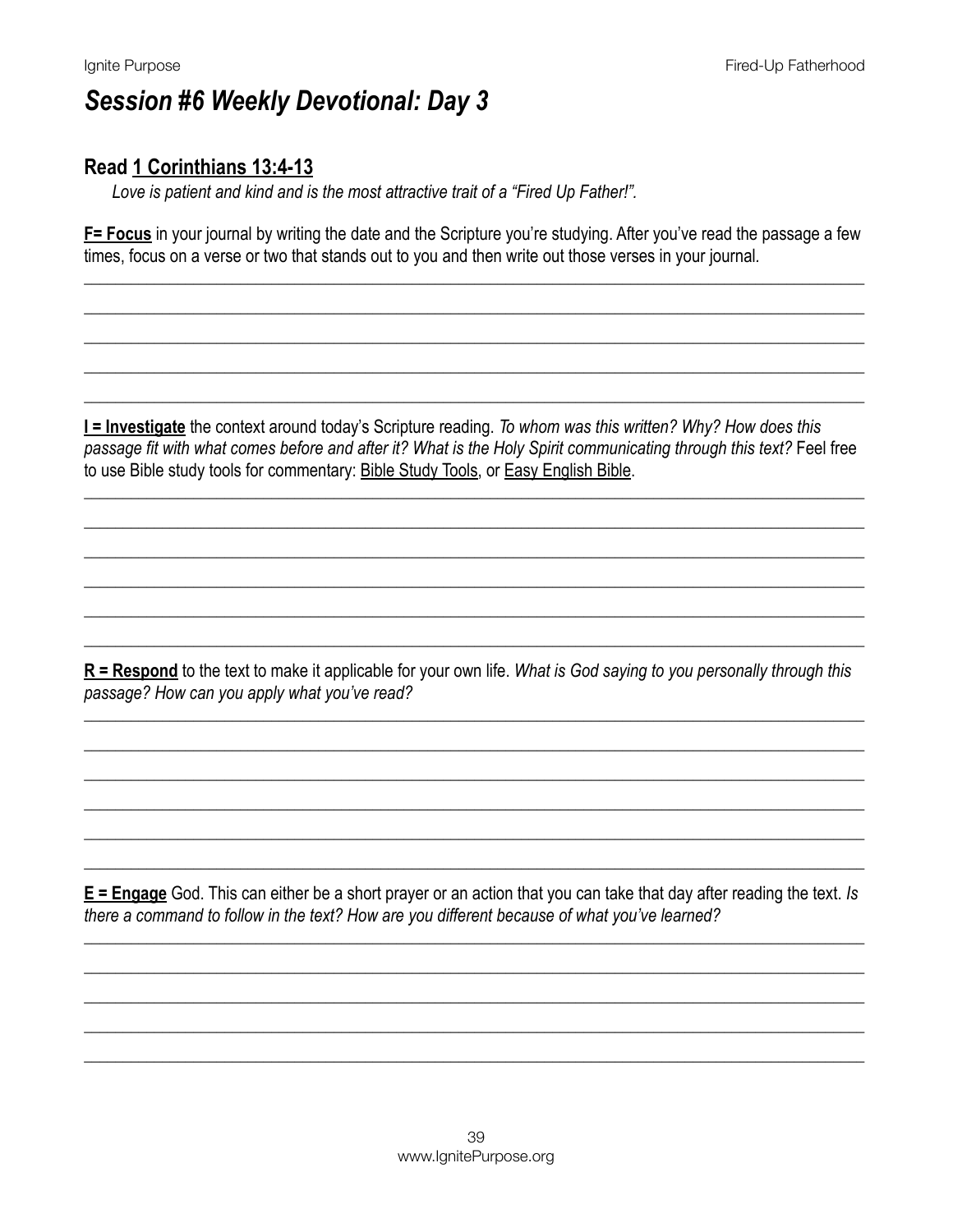### Read 1 Corinthians 13:4-13

Love is patient and kind and is the most attractive trait of a "Fired Up Father!".

**F= Focus** in your journal by writing the date and the Scripture you're studying. After you've read the passage a few times, focus on a verse or two that stands out to you and then write out those verses in your journal.

**I = Investigate** the context around today's Scripture reading. To whom was this written? Why? How does this passage fit with what comes before and after it? What is the Holy Spirit communicating through this text? Feel free to use Bible study tools for commentary: Bible Study Tools, or Easy English Bible.

 $R$  = Respond to the text to make it applicable for your own life. What is God saying to you personally through this passage? How can you apply what you've read?